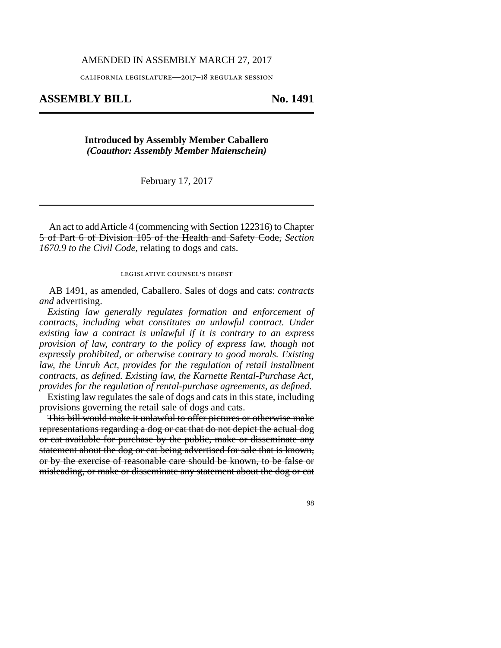### AMENDED IN ASSEMBLY MARCH 27, 2017

california legislature—2017–18 regular session

# **ASSEMBLY BILL No. 1491**

## **Introduced by Assembly Member Caballero** *(Coauthor: Assembly Member Maienschein)*

February 17, 2017

An act to addArticle 4 (commencing with Section 122316) to Chapter 5 of Part 6 of Division 105 of the Health and Safety Code, *Section 1670.9 to the Civil Code,* relating to dogs and cats.

### legislative counsel's digest

AB 1491, as amended, Caballero. Sales of dogs and cats: *contracts and* advertising.

*Existing law generally regulates formation and enforcement of contracts, including what constitutes an unlawful contract. Under existing law a contract is unlawful if it is contrary to an express provision of law, contrary to the policy of express law, though not expressly prohibited, or otherwise contrary to good morals. Existing law, the Unruh Act, provides for the regulation of retail installment contracts, as defined. Existing law, the Karnette Rental-Purchase Act, provides for the regulation of rental-purchase agreements, as defined.*

Existing law regulates the sale of dogs and cats in this state, including provisions governing the retail sale of dogs and cats.

This bill would make it unlawful to offer pictures or otherwise make representations regarding a dog or cat that do not depict the actual dog or cat available for purchase by the public, make or disseminate any statement about the dog or cat being advertised for sale that is known, or by the exercise of reasonable care should be known, to be false or misleading, or make or disseminate any statement about the dog or cat

98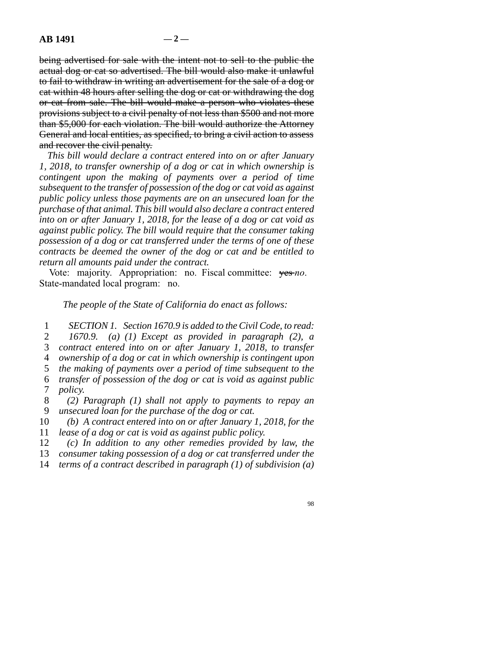being advertised for sale with the intent not to sell to the public the actual dog or cat so advertised. The bill would also make it unlawful to fail to withdraw in writing an advertisement for the sale of a dog or cat within 48 hours after selling the dog or cat or withdrawing the dog or cat from sale. The bill would make a person who violates these provisions subject to a civil penalty of not less than \$500 and not more than \$5,000 for each violation. The bill would authorize the Attorney General and local entities, as specified, to bring a civil action to assess and recover the civil penalty.

*This bill would declare a contract entered into on or after January 1, 2018, to transfer ownership of a dog or cat in which ownership is contingent upon the making of payments over a period of time subsequent to the transfer of possession of the dog or cat void as against public policy unless those payments are on an unsecured loan for the purchase of that animal. This bill would also declare a contract entered into on or after January 1, 2018, for the lease of a dog or cat void as against public policy. The bill would require that the consumer taking possession of a dog or cat transferred under the terms of one of these contracts be deemed the owner of the dog or cat and be entitled to return all amounts paid under the contract.*

Vote: majority. Appropriation: no. Fiscal committee: yes *no*. State-mandated local program: no.

*The people of the State of California do enact as follows:*

 line 1 *SECTION 1. Section 1670.9 is added to the Civil Code, to read:* line 2 *1670.9. (a) (1) Except as provided in paragraph (2), a* line 3 *contract entered into on or after January 1, 2018, to transfer* line 4 *ownership of a dog or cat in which ownership is contingent upon* 5 the making of payments over a period of time subsequent to the line 6 *transfer of possession of the dog or cat is void as against public* 7 *policy.* 

 line 8 *(2) Paragraph (1) shall not apply to payments to repay an* 9 *unsecured loan for the purchase of the dog or cat.* 

10 *(b)* A contract entered into on or after January 1, 2018, for the 11 *lease of a dog or cat is void as against public policy.* 

12 *(c)* In addition to any other remedies provided by law, the

13 *consumer taking possession of a dog or cat transferred under the* 

14 *terms of a contract described in paragraph (1) of subdivision (a)* 

98